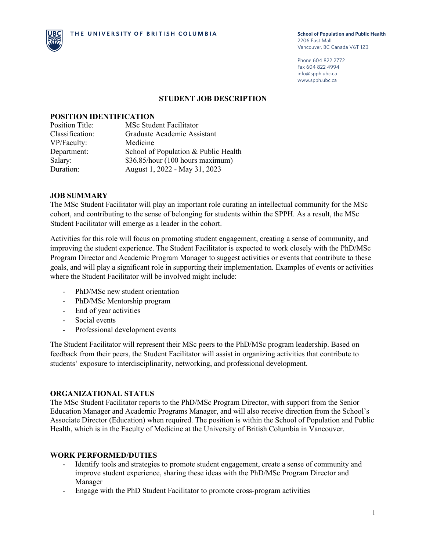

Phone 604 822 2772 Fax 604 822 4994 info@spph.ubc.ca www.spph.ubc.ca

#### **STUDENT JOB DESCRIPTION**

#### **POSITION IDENTIFICATION**

| <b>Position Title:</b> | <b>MSc Student Facilitator</b>       |
|------------------------|--------------------------------------|
| Classification:        | Graduate Academic Assistant          |
| VP/Faculty:            | Medicine                             |
| Department:            | School of Population & Public Health |
| Salary:                | \$36.85/hour (100 hours maximum)     |
| Duration:              | August 1, 2022 - May 31, 2023        |

### **JOB SUMMARY**

The MSc Student Facilitator will play an important role curating an intellectual community for the MSc cohort, and contributing to the sense of belonging for students within the SPPH. As a result, the MSc Student Facilitator will emerge as a leader in the cohort.

Activities for this role will focus on promoting student engagement, creating a sense of community, and improving the student experience. The Student Facilitator is expected to work closely with the PhD/MSc Program Director and Academic Program Manager to suggest activities or events that contribute to these goals, and will play a significant role in supporting their implementation. Examples of events or activities where the Student Facilitator will be involved might include:

- PhD/MSc new student orientation
- PhD/MSc Mentorship program
- End of year activities
- Social events
- Professional development events

The Student Facilitator will represent their MSc peers to the PhD/MSc program leadership. Based on feedback from their peers, the Student Facilitator will assist in organizing activities that contribute to students' exposure to interdisciplinarity, networking, and professional development.

#### **ORGANIZATIONAL STATUS**

The MSc Student Facilitator reports to the PhD/MSc Program Director, with support from the Senior Education Manager and Academic Programs Manager, and will also receive direction from the School's Associate Director (Education) when required. The position is within the School of Population and Public Health, which is in the Faculty of Medicine at the University of British Columbia in Vancouver.

#### **WORK PERFORMED/DUTIES**

- Identify tools and strategies to promote student engagement, create a sense of community and improve student experience, sharing these ideas with the PhD/MSc Program Director and Manager
- Engage with the PhD Student Facilitator to promote cross-program activities